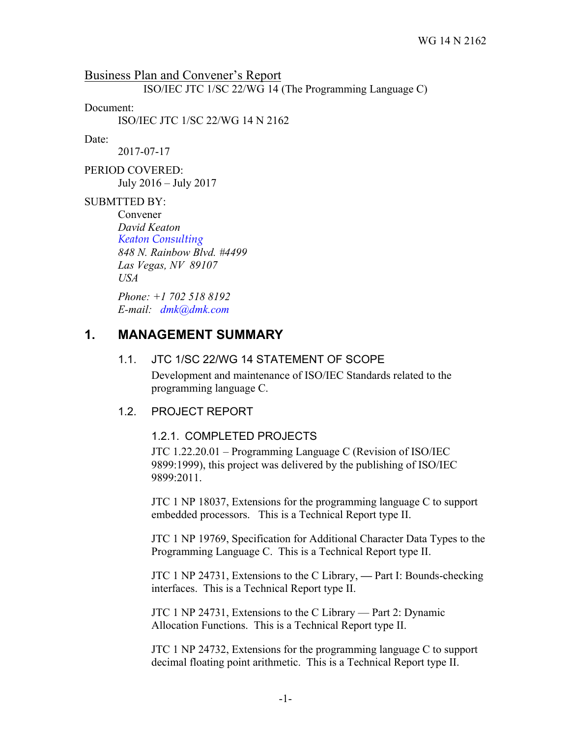Business Plan and Convener's Report

ISO/IEC JTC 1/SC 22/WG 14 (The Programming Language C)

Document:

ISO/IEC JTC 1/SC 22/WG 14 N 2162

#### Date:

2017-07-17

PERIOD COVERED: July 2016 – July 2017

#### SUBMTTED BY:

Convener *David Keaton Keaton Consulting 848 N. Rainbow Blvd. #4499 Las Vegas, NV 89107 USA*

*Phone: +1 702 518 8192 E-mail: dmk@dmk.com*

# **1. MANAGEMENT SUMMARY**

#### 1.1. JTC 1/SC 22/WG 14 STATEMENT OF SCOPE

Development and maintenance of ISO/IEC Standards related to the programming language C.

#### 1.2. PROJECT REPORT

#### 1.2.1. COMPLETED PROJECTS

JTC 1.22.20.01 – Programming Language C (Revision of ISO/IEC 9899:1999), this project was delivered by the publishing of ISO/IEC 9899:2011.

JTC 1 NP 18037, Extensions for the programming language C to support embedded processors. This is a Technical Report type II.

JTC 1 NP 19769, Specification for Additional Character Data Types to the Programming Language C. This is a Technical Report type II.

JTC 1 NP 24731, Extensions to the C Library, **—** Part I: Bounds-checking interfaces. This is a Technical Report type II.

JTC 1 NP 24731, Extensions to the C Library — Part 2: Dynamic Allocation Functions. This is a Technical Report type II.

JTC 1 NP 24732, Extensions for the programming language C to support decimal floating point arithmetic. This is a Technical Report type II.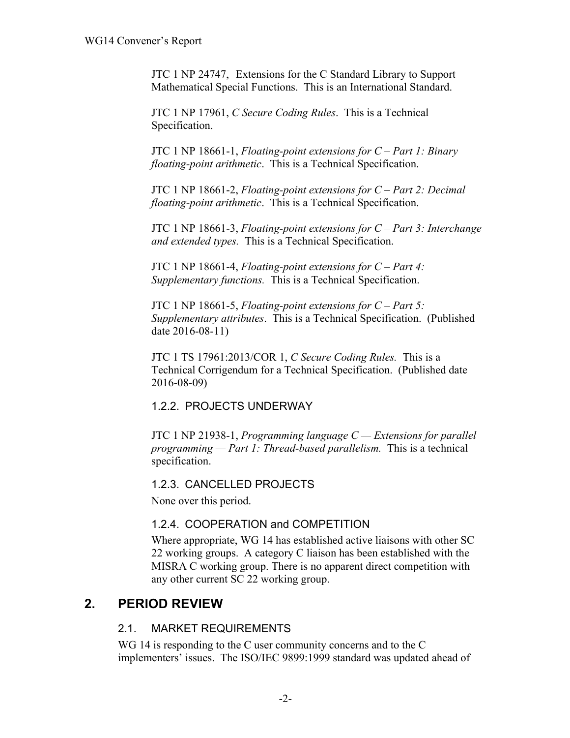JTC 1 NP 24747, Extensions for the C Standard Library to Support Mathematical Special Functions. This is an International Standard.

JTC 1 NP 17961, *C Secure Coding Rules*. This is a Technical Specification.

JTC 1 NP 18661-1, *Floating-point extensions for C – Part 1: Binary floating-point arithmetic*. This is a Technical Specification.

JTC 1 NP 18661-2, *Floating-point extensions for C – Part 2: Decimal floating-point arithmetic*. This is a Technical Specification.

JTC 1 NP 18661-3, *Floating-point extensions for C – Part 3: Interchange and extended types.* This is a Technical Specification.

JTC 1 NP 18661-4, *Floating-point extensions for C – Part 4: Supplementary functions.* This is a Technical Specification.

JTC 1 NP 18661-5, *Floating-point extensions for C – Part 5: Supplementary attributes*. This is a Technical Specification. (Published date 2016-08-11)

JTC 1 TS 17961:2013/COR 1, *C Secure Coding Rules.* This is a Technical Corrigendum for a Technical Specification. (Published date 2016-08-09)

## 1.2.2. PROJECTS UNDERWAY

JTC 1 NP 21938-1, *Programming language C — Extensions for parallel programming — Part 1: Thread-based parallelism.* This is a technical specification.

1.2.3. CANCELLED PROJECTS

None over this period.

## 1.2.4. COOPERATION and COMPETITION

Where appropriate, WG 14 has established active liaisons with other SC 22 working groups. A category C liaison has been established with the MISRA C working group. There is no apparent direct competition with any other current SC 22 working group.

# **2. PERIOD REVIEW**

## 2.1. MARKET REQUIREMENTS

WG 14 is responding to the C user community concerns and to the C implementers' issues. The ISO/IEC 9899:1999 standard was updated ahead of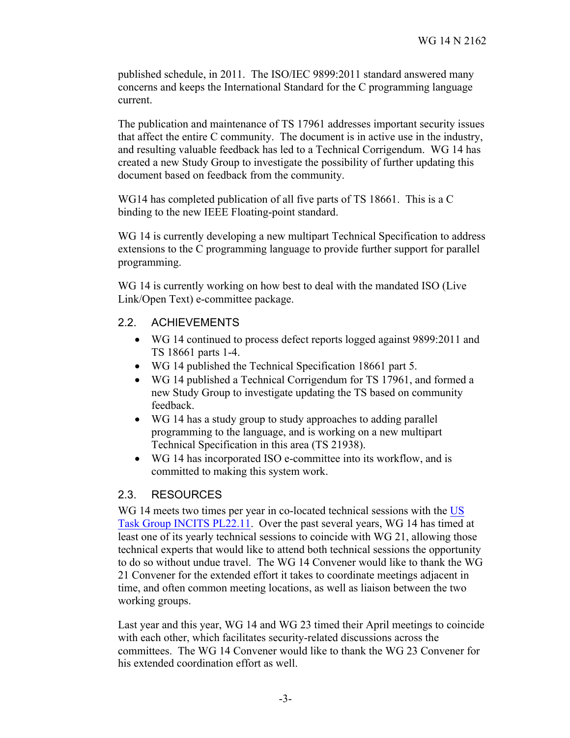published schedule, in 2011. The ISO/IEC 9899:2011 standard answered many concerns and keeps the International Standard for the C programming language current.

The publication and maintenance of TS 17961 addresses important security issues that affect the entire C community. The document is in active use in the industry, and resulting valuable feedback has led to a Technical Corrigendum. WG 14 has created a new Study Group to investigate the possibility of further updating this document based on feedback from the community.

WG14 has completed publication of all five parts of TS 18661. This is a C binding to the new IEEE Floating-point standard.

WG 14 is currently developing a new multipart Technical Specification to address extensions to the C programming language to provide further support for parallel programming.

WG 14 is currently working on how best to deal with the mandated ISO (Live Link/Open Text) e-committee package.

### 2.2. ACHIEVEMENTS

- WG 14 continued to process defect reports logged against 9899:2011 and TS 18661 parts 1-4.
- WG 14 published the Technical Specification 18661 part 5.
- WG 14 published a Technical Corrigendum for TS 17961, and formed a new Study Group to investigate updating the TS based on community feedback.
- WG 14 has a study group to study approaches to adding parallel programming to the language, and is working on a new multipart Technical Specification in this area (TS 21938).
- WG 14 has incorporated ISO e-committee into its workflow, and is committed to making this system work.

### 2.3. RESOURCES

WG 14 meets two times per year in co-located technical sessions with the US Task Group INCITS PL22.11. Over the past several years, WG 14 has timed at least one of its yearly technical sessions to coincide with WG 21, allowing those technical experts that would like to attend both technical sessions the opportunity to do so without undue travel. The WG 14 Convener would like to thank the WG 21 Convener for the extended effort it takes to coordinate meetings adjacent in time, and often common meeting locations, as well as liaison between the two working groups.

Last year and this year, WG 14 and WG 23 timed their April meetings to coincide with each other, which facilitates security-related discussions across the committees. The WG 14 Convener would like to thank the WG 23 Convener for his extended coordination effort as well.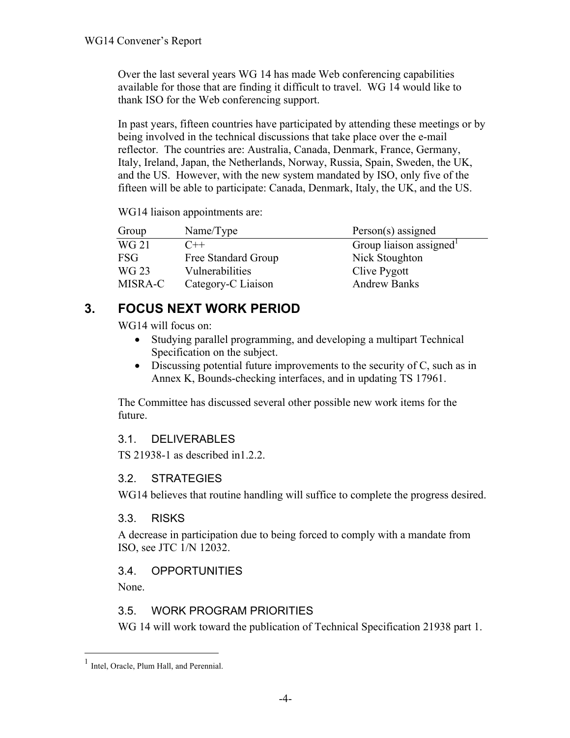Over the last several years WG 14 has made Web conferencing capabilities available for those that are finding it difficult to travel. WG 14 would like to thank ISO for the Web conferencing support.

In past years, fifteen countries have participated by attending these meetings or by being involved in the technical discussions that take place over the e-mail reflector. The countries are: Australia, Canada, Denmark, France, Germany, Italy, Ireland, Japan, the Netherlands, Norway, Russia, Spain, Sweden, the UK, and the US. However, with the new system mandated by ISO, only five of the fifteen will be able to participate: Canada, Denmark, Italy, the UK, and the US.

WG14 liaison appointments are:

| Group      | Name/Type           | Person(s) assigned     |
|------------|---------------------|------------------------|
| WG 21      | $C++$               | Group liaison assigned |
| <b>FSG</b> | Free Standard Group | Nick Stoughton         |
| WG 23      | Vulnerabilities     | Clive Pygott           |
| MISRA-C    | Category-C Liaison  | <b>Andrew Banks</b>    |

# **3. FOCUS NEXT WORK PERIOD**

WG14 will focus on:

- Studying parallel programming, and developing a multipart Technical Specification on the subject.
- Discussing potential future improvements to the security of C, such as in Annex K, Bounds-checking interfaces, and in updating TS 17961.

The Committee has discussed several other possible new work items for the future.

# 3.1. DELIVERABLES

TS 21938-1 as described in1.2.2.

## 3.2. STRATEGIES

WG14 believes that routine handling will suffice to complete the progress desired.

## 3.3. RISKS

A decrease in participation due to being forced to comply with a mandate from ISO, see JTC 1/N 12032.

# 3.4. OPPORTUNITIES

None.

# 3.5. WORK PROGRAM PRIORITIES

WG 14 will work toward the publication of Technical Specification 21938 part 1.

<sup>&</sup>lt;sup>1</sup> Intel, Oracle, Plum Hall, and Perennial.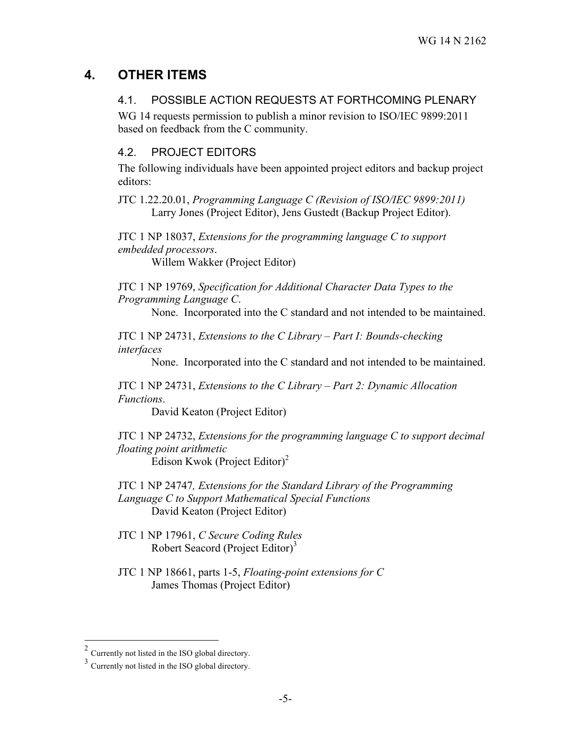# **4. OTHER ITEMS**

## 4.1. POSSIBLE ACTION REQUESTS AT FORTHCOMING PLENARY

WG 14 requests permission to publish a minor revision to ISO/IEC 9899:2011 based on feedback from the C community.

## 4.2. PROJECT EDITORS

The following individuals have been appointed project editors and backup project editors:

JTC 1.22.20.01, *Programming Language C (Revision of ISO/IEC 9899:2011)* Larry Jones (Project Editor), Jens Gustedt (Backup Project Editor).

JTC 1 NP 18037, *Extensions for the programming language C to support embedded processors*.

Willem Wakker (Project Editor)

JTC 1 NP 19769, *Specification for Additional Character Data Types to the Programming Language C*.

None. Incorporated into the C standard and not intended to be maintained.

JTC 1 NP 24731, *Extensions to the C Library – Part I: Bounds-checking interfaces*

None. Incorporated into the C standard and not intended to be maintained.

JTC 1 NP 24731, *Extensions to the C Library – Part 2: Dynamic Allocation Functions*.

David Keaton (Project Editor)

JTC 1 NP 24732, *Extensions for the programming language C to support decimal floating point arithmetic* Edison Kwok (Project Editor) 2

JTC 1 NP 24747*, Extensions for the Standard Library of the Programming Language C to Support Mathematical Special Functions* David Keaton (Project Editor)

JTC 1 NP 17961, *C Secure Coding Rules* Robert Seacord (Project Editor)<sup>3</sup>

JTC 1 NP 18661, parts 1-5, *Floating-point extensions for C* James Thomas (Project Editor)

 $2$  Currently not listed in the ISO global directory.

<sup>3</sup> Currently not listed in the ISO global directory.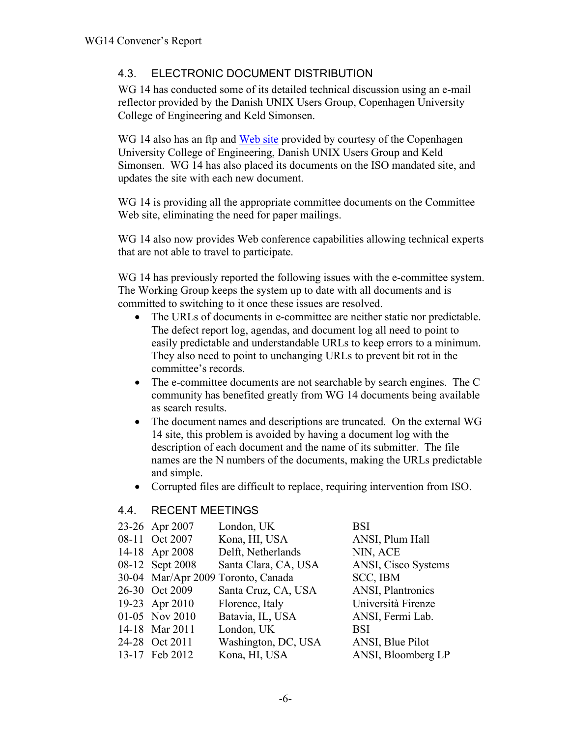## 4.3. ELECTRONIC DOCUMENT DISTRIBUTION

WG 14 has conducted some of its detailed technical discussion using an e-mail reflector provided by the Danish UNIX Users Group, Copenhagen University College of Engineering and Keld Simonsen.

WG 14 also has an ftp and Web site provided by courtesy of the Copenhagen University College of Engineering, Danish UNIX Users Group and Keld Simonsen. WG 14 has also placed its documents on the ISO mandated site, and updates the site with each new document.

WG 14 is providing all the appropriate committee documents on the Committee Web site, eliminating the need for paper mailings.

WG 14 also now provides Web conference capabilities allowing technical experts that are not able to travel to participate.

WG 14 has previously reported the following issues with the e-committee system. The Working Group keeps the system up to date with all documents and is committed to switching to it once these issues are resolved.

- The URLs of documents in e-committee are neither static nor predictable. The defect report log, agendas, and document log all need to point to easily predictable and understandable URLs to keep errors to a minimum. They also need to point to unchanging URLs to prevent bit rot in the committee's records.
- The e-committee documents are not searchable by search engines. The C community has benefited greatly from WG 14 documents being available as search results.
- The document names and descriptions are truncated. On the external WG 14 site, this problem is avoided by having a document log with the description of each document and the name of its submitter. The file names are the N numbers of the documents, making the URLs predictable and simple.
- Corrupted files are difficult to replace, requiring intervention from ISO.

### 4.4. RECENT MEETINGS

| 23-26 Apr 2007  | London, UK                         | BSI                 |
|-----------------|------------------------------------|---------------------|
| 08-11 Oct 2007  | Kona, HI, USA                      | ANSI, Plum Hall     |
| 14-18 Apr 2008  | Delft, Netherlands                 | NIN, ACE            |
| 08-12 Sept 2008 | Santa Clara, CA, USA               | ANSI, Cisco Systems |
|                 | 30-04 Mar/Apr 2009 Toronto, Canada | SCC, IBM            |
| 26-30 Oct 2009  | Santa Cruz, CA, USA                | ANSI, Plantronics   |
| 19-23 Apr 2010  | Florence, Italy                    | Università Firenze  |
| 01-05 Nov 2010  | Batavia, IL, USA                   | ANSI, Fermi Lab.    |
| 14-18 Mar 2011  | London, UK                         | BSI                 |
| 24-28 Oct 2011  | Washington, DC, USA                | ANSI, Blue Pilot    |
| 13-17 Feb 2012  | Kona, HI, USA                      | ANSI, Bloomberg LP  |